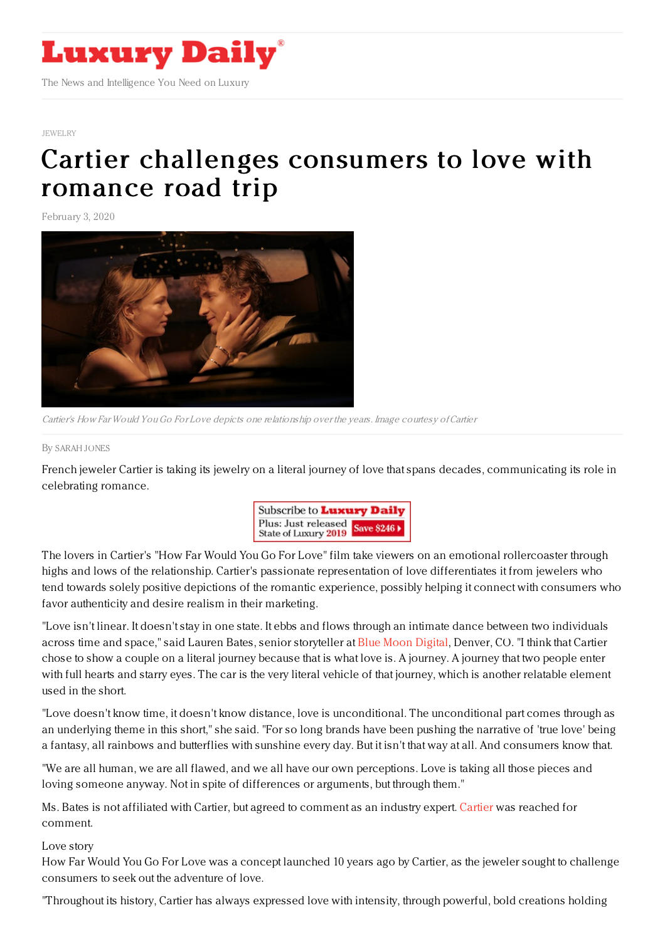

## [JEWELRY](https://www.luxurydaily.com/category/sectors/jewelry/)

## Cartier [challenges](https://www.luxurydaily.com/cartier-challenges-consumers-to-love-with-romance-road-trip/) consumers to love with romance road trip

February 3, 2020



Cartier's How Far Would YouGo For Love depicts one relationship over the years. Image courtesy ofCartier

## By [SARAH](file:///author/sarah-jones) JONES

French jeweler Cartier is taking its jewelry on a literal journey of love that spans decades, communicating its role in celebrating romance.



The lovers in Cartier's "How Far Would You Go For Love" film take viewers on an emotional rollercoaster through highs and lows of the relationship. Cartier's passionate representation of love differentiates it from jewelers who tend towards solely positive depictions of the romantic experience, possibly helping it connect with consumers who favor authenticity and desire realism in their marketing.

"Love isn't linear. It doesn't stay in one state. It ebbs and flows through an intimate dance between two individuals across time and space," said Lauren Bates, senior storyteller at Blue Moon [Digital](http://bluemoondigital.co/), Denver, CO. "I think that Cartier chose to show a couple on a literal journey because that is what love is. A journey. A journey that two people enter with full hearts and starry eyes. The car is the very literal vehicle of that journey, which is another relatable element used in the short.

"Love doesn't know time, it doesn't know distance, love is unconditional. The unconditional part comes through as an underlying theme in this short," she said. "For so long brands have been pushing the narrative of 'true love' being a fantasy, all rainbows and butterflies with sunshine every day. But it isn't that way at all. And consumers know that.

"We are all human, we are all flawed, and we all have our own perceptions. Love is taking all those pieces and loving someone anyway. Not in spite of differences or arguments, but through them."

Ms. Bates is not affiliated with [Cartier](http://cartier.com), but agreed to comment as an industry expert. Cartier was reached for comment.

Love story

How Far Would You Go For Love was a concept launched 10 years ago by Cartier, as the jeweler sought to challenge consumers to seek out the adventure of love.

"Throughout its history, Cartier has always expressed love with intensity, through powerful, bold creations holding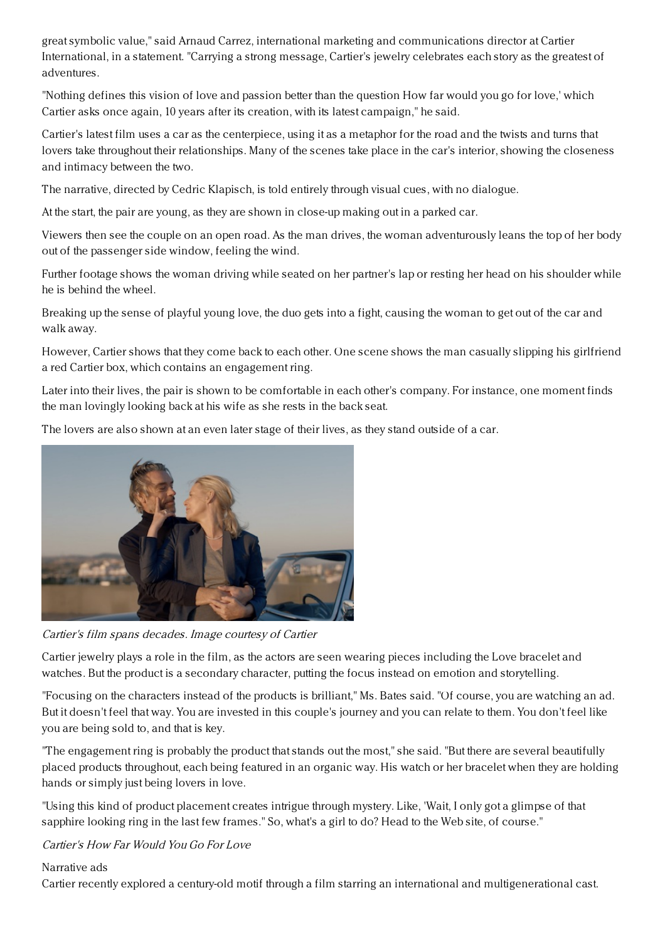great symbolic value," said Arnaud Carrez, international marketing and communications director at Cartier International, in a statement. "Carrying a strong message, Cartier's jewelry celebrates each story as the greatest of adventures.

"Nothing defines this vision of love and passion better than the question How far would you go for love,' which Cartier asks once again, 10 years after its creation, with its latest campaign," he said.

Cartier's latest film uses a car as the centerpiece, using it as a metaphor for the road and the twists and turns that lovers take throughout their relationships. Many of the scenes take place in the car's interior, showing the closeness and intimacy between the two.

The narrative, directed by Cedric Klapisch, is told entirely through visual cues, with no dialogue.

At the start, the pair are young, as they are shown in close-up making out in a parked car.

Viewers then see the couple on an open road. As the man drives, the woman adventurously leans the top of her body out of the passenger side window, feeling the wind.

Further footage shows the woman driving while seated on her partner's lap or resting her head on his shoulder while he is behind the wheel.

Breaking up the sense of playful young love, the duo gets into a fight, causing the woman to get out of the car and walk away.

However, Cartier shows that they come back to each other. One scene shows the man casually slipping his girlfriend a red Cartier box, which contains an engagement ring.

Later into their lives, the pair is shown to be comfortable in each other's company. For instance, one moment finds the man lovingly looking back at his wife as she rests in the back seat.

The lovers are also shown at an even later stage of their lives, as they stand outside of a car.



Cartier's film spans decades. Image courtesy of Cartier

Cartier jewelry plays a role in the film, as the actors are seen wearing pieces including the Love bracelet and watches. But the product is a secondary character, putting the focus instead on emotion and storytelling.

"Focusing on the characters instead of the products is brilliant," Ms. Bates said. "Of course, you are watching an ad. But it doesn't feel that way. You are invested in this couple's journey and you can relate to them. You don't feel like you are being sold to, and that is key.

"The engagement ring is probably the product that stands out the most," she said. "But there are several beautifully placed products throughout, each being featured in an organic way. His watch or her bracelet when they are holding hands or simply just being lovers in love.

"Using this kind of product placement creates intrigue through mystery. Like, 'Wait, I only got a glimpse of that sapphire looking ring in the last few frames." So, what's a girl to do? Head to the Web site, of course."

Cartier's How Far Would You Go For Love

## Narrative ads

Cartier recently explored a century-old motif through a film starring an international and multigenerational cast.